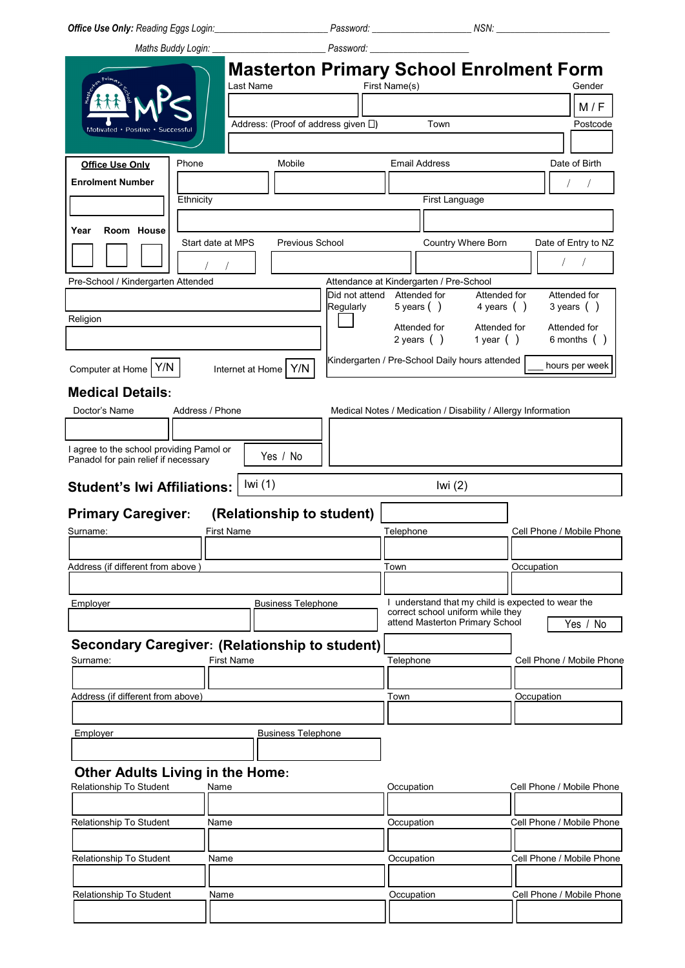*Office Use Only: Reading Eggs Login:\_\_\_\_\_\_\_\_\_\_\_\_\_\_\_\_\_\_\_\_\_\_\_\_ Password: \_\_\_\_\_\_\_\_\_\_\_\_\_\_\_\_\_\_\_\_\_ NSN: \_\_\_\_\_\_\_\_\_\_\_\_\_\_\_\_\_\_\_\_\_\_\_\_* 

 *Maths Buddy Login: \_\_\_\_\_\_\_\_\_\_\_\_\_\_\_\_\_\_\_\_\_\_\_\_ Password: \_\_\_\_\_\_\_\_\_\_\_\_\_\_\_\_\_\_\_\_\_* 

|            | Password: |                                                |        |
|------------|-----------|------------------------------------------------|--------|
|            |           | <b>Masterton Primary School Enrolment Form</b> |        |
| ⊟Last Name |           | First Name(s)                                  | Gender |

|                                                                                  |                   | Last Name         |                                              |                                                           | First Name(s) |                      |                                                                      | Gender                                                                              |
|----------------------------------------------------------------------------------|-------------------|-------------------|----------------------------------------------|-----------------------------------------------------------|---------------|----------------------|----------------------------------------------------------------------|-------------------------------------------------------------------------------------|
|                                                                                  |                   |                   |                                              |                                                           |               |                      |                                                                      | M/F                                                                                 |
|                                                                                  |                   |                   | Address: (Proof of address given $\square$ ) |                                                           |               | Town                 |                                                                      | Postcode                                                                            |
| Motivated · Positive                                                             |                   |                   |                                              |                                                           |               |                      |                                                                      |                                                                                     |
|                                                                                  |                   |                   |                                              |                                                           |               |                      |                                                                      |                                                                                     |
| <b>Office Use Only</b>                                                           | Phone             |                   | Mobile                                       |                                                           |               | <b>Email Address</b> |                                                                      | Date of Birth                                                                       |
| <b>Enrolment Number</b>                                                          |                   |                   |                                              |                                                           |               |                      |                                                                      |                                                                                     |
|                                                                                  | Ethnicity         |                   |                                              |                                                           |               | First Language       |                                                                      |                                                                                     |
|                                                                                  |                   |                   |                                              |                                                           |               |                      |                                                                      |                                                                                     |
| Room House<br>Year                                                               | Start date at MPS |                   | Previous School                              |                                                           |               |                      | Country Where Born                                                   | Date of Entry to NZ                                                                 |
|                                                                                  |                   |                   |                                              |                                                           |               |                      |                                                                      | $\sqrt{\phantom{a}}$                                                                |
|                                                                                  |                   |                   |                                              |                                                           |               |                      |                                                                      |                                                                                     |
| Pre-School / Kindergarten Attended                                               |                   |                   |                                              | Attendance at Kindergarten / Pre-School<br>Did not attend |               | Attended for         | Attended for                                                         | Attended for                                                                        |
|                                                                                  |                   |                   |                                              | Regularly                                                 |               | 5 years $( )$        | 4 years $( )$                                                        | 3 years $( )$                                                                       |
| Religion                                                                         |                   |                   |                                              |                                                           |               | Attended for         | Attended for                                                         | Attended for                                                                        |
|                                                                                  |                   |                   |                                              |                                                           |               | 2 years $( )$        | 1 year $( )$                                                         | 6 months $( )$                                                                      |
|                                                                                  |                   |                   |                                              |                                                           |               |                      | Kindergarten / Pre-School Daily hours attended                       |                                                                                     |
| Computer at Home   Y/N                                                           |                   |                   | Internet at Home   Y/N                       |                                                           |               |                      |                                                                      | hours per week                                                                      |
| <b>Medical Details:</b>                                                          |                   |                   |                                              |                                                           |               |                      |                                                                      |                                                                                     |
| Doctor's Name                                                                    | Address / Phone   |                   |                                              |                                                           |               |                      | Medical Notes / Medication / Disability / Allergy Information        |                                                                                     |
|                                                                                  |                   |                   |                                              |                                                           |               |                      |                                                                      |                                                                                     |
|                                                                                  |                   |                   |                                              |                                                           |               |                      |                                                                      |                                                                                     |
| I agree to the school providing Pamol or<br>Panadol for pain relief if necessary |                   |                   | Yes / No                                     |                                                           |               |                      |                                                                      |                                                                                     |
|                                                                                  |                   |                   |                                              |                                                           |               |                      |                                                                      |                                                                                     |
| <b>Student's Iwi Affiliations:</b>                                               |                   | Iwi $(1)$         |                                              |                                                           |               | Iwi $(2)$            |                                                                      |                                                                                     |
|                                                                                  |                   |                   |                                              |                                                           |               |                      |                                                                      |                                                                                     |
|                                                                                  |                   |                   |                                              |                                                           |               |                      |                                                                      |                                                                                     |
|                                                                                  |                   |                   | (Relationship to student)                    |                                                           |               |                      |                                                                      |                                                                                     |
|                                                                                  |                   | <b>First Name</b> |                                              |                                                           | Telephone     |                      |                                                                      |                                                                                     |
|                                                                                  |                   |                   |                                              |                                                           |               |                      |                                                                      |                                                                                     |
|                                                                                  |                   |                   |                                              |                                                           | Town          |                      |                                                                      | Occupation                                                                          |
|                                                                                  |                   |                   |                                              |                                                           |               |                      |                                                                      |                                                                                     |
| Employer                                                                         |                   |                   | <b>Business Telephone</b>                    |                                                           |               |                      | I understand that my child is expected to wear the                   |                                                                                     |
|                                                                                  |                   |                   |                                              |                                                           |               |                      | correct school uniform while they<br>attend Masterton Primary School | Yes / No                                                                            |
| <b>Primary Caregiver:</b><br>Surname:<br>Address (if different from above)       |                   |                   |                                              |                                                           |               |                      |                                                                      |                                                                                     |
| Secondary Caregiver: (Relationship to student)<br>Surname:                       |                   | First Name        |                                              |                                                           | Telephone     |                      |                                                                      |                                                                                     |
|                                                                                  |                   |                   |                                              |                                                           |               |                      |                                                                      |                                                                                     |
|                                                                                  |                   |                   |                                              |                                                           |               |                      |                                                                      |                                                                                     |
| Address (if different from above)                                                |                   |                   |                                              |                                                           | Town          |                      |                                                                      | Occupation                                                                          |
|                                                                                  |                   |                   |                                              |                                                           |               |                      |                                                                      |                                                                                     |
| Employer                                                                         |                   |                   | <b>Business Telephone</b>                    |                                                           |               |                      |                                                                      |                                                                                     |
|                                                                                  |                   |                   |                                              |                                                           |               |                      |                                                                      |                                                                                     |
| <b>Other Adults Living in the Home:</b>                                          |                   |                   |                                              |                                                           |               |                      |                                                                      |                                                                                     |
| Relationship To Student                                                          | Name              |                   |                                              |                                                           | Occupation    |                      |                                                                      | Cell Phone / Mobile Phone                                                           |
|                                                                                  |                   |                   |                                              |                                                           |               |                      |                                                                      |                                                                                     |
| Relationship To Student                                                          | Name              |                   |                                              |                                                           | Occupation    |                      |                                                                      | Cell Phone / Mobile Phone                                                           |
|                                                                                  |                   |                   |                                              |                                                           |               |                      |                                                                      |                                                                                     |
|                                                                                  | Name              |                   |                                              |                                                           | Occupation    |                      |                                                                      |                                                                                     |
| Relationship To Student                                                          |                   |                   |                                              |                                                           |               |                      |                                                                      |                                                                                     |
|                                                                                  |                   |                   |                                              |                                                           |               |                      |                                                                      | Cell Phone / Mobile Phone                                                           |
| Relationship To Student                                                          | Name              |                   |                                              |                                                           | Occupation    |                      |                                                                      | Cell Phone / Mobile Phone<br>Cell Phone / Mobile Phone<br>Cell Phone / Mobile Phone |